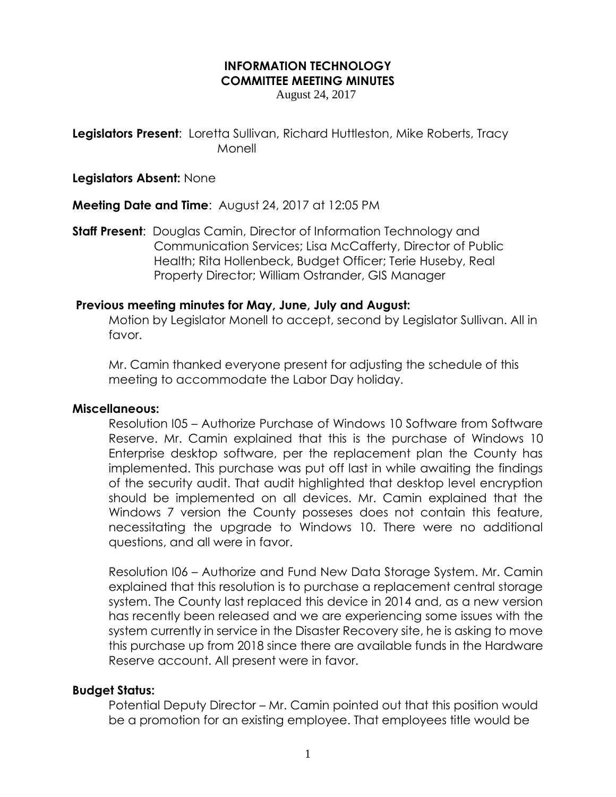### **INFORMATION TECHNOLOGY COMMITTEE MEETING MINUTES**

August 24, 2017

**Legislators Present:** Loretta Sullivan, Richard Huttleston, Mike Roberts, Tracy Monell

### **Legislators Absent:** None

**Meeting Date and Time**: August 24, 2017 at 12:05 PM

**Staff Present**: Douglas Camin, Director of Information Technology and Communication Services; Lisa McCafferty, Director of Public Health; Rita Hollenbeck, Budget Officer; Terie Huseby, Real Property Director; William Ostrander, GIS Manager

# **Previous meeting minutes for May, June, July and August:**

Motion by Legislator Monell to accept, second by Legislator Sullivan. All in favor.

Mr. Camin thanked everyone present for adjusting the schedule of this meeting to accommodate the Labor Day holiday.

# **Miscellaneous:**

Resolution I05 – Authorize Purchase of Windows 10 Software from Software Reserve. Mr. Camin explained that this is the purchase of Windows 10 Enterprise desktop software, per the replacement plan the County has implemented. This purchase was put off last in while awaiting the findings of the security audit. That audit highlighted that desktop level encryption should be implemented on all devices. Mr. Camin explained that the Windows 7 version the County posseses does not contain this feature, necessitating the upgrade to Windows 10. There were no additional questions, and all were in favor.

Resolution I06 – Authorize and Fund New Data Storage System. Mr. Camin explained that this resolution is to purchase a replacement central storage system. The County last replaced this device in 2014 and, as a new version has recently been released and we are experiencing some issues with the system currently in service in the Disaster Recovery site, he is asking to move this purchase up from 2018 since there are available funds in the Hardware Reserve account. All present were in favor.

# **Budget Status:**

Potential Deputy Director – Mr. Camin pointed out that this position would be a promotion for an existing employee. That employees title would be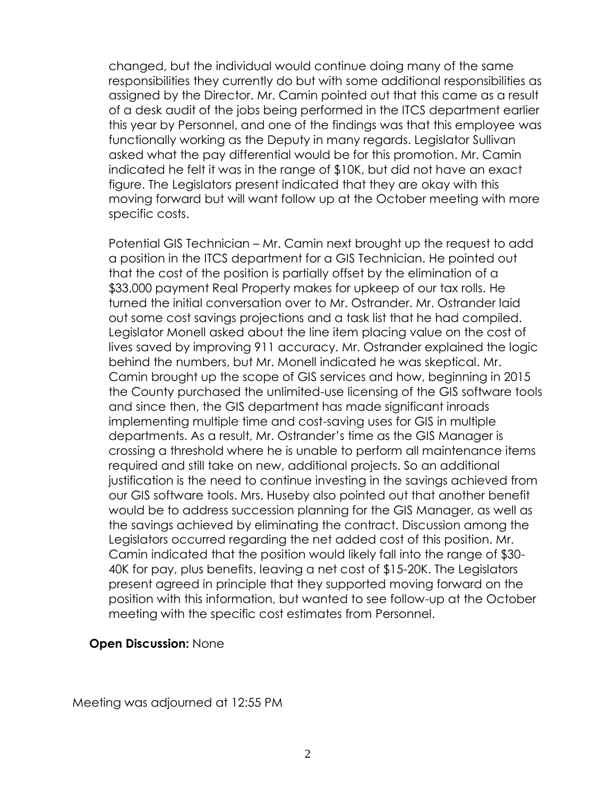changed, but the individual would continue doing many of the same responsibilities they currently do but with some additional responsibilities as assigned by the Director. Mr. Camin pointed out that this came as a result of a desk audit of the jobs being performed in the ITCS department earlier this year by Personnel, and one of the findings was that this employee was functionally working as the Deputy in many regards. Legislator Sullivan asked what the pay differential would be for this promotion. Mr. Camin indicated he felt it was in the range of \$10K, but did not have an exact figure. The Legislators present indicated that they are okay with this moving forward but will want follow up at the October meeting with more specific costs.

Potential GIS Technician – Mr. Camin next brought up the request to add a position in the ITCS department for a GIS Technician. He pointed out that the cost of the position is partially offset by the elimination of a \$33,000 payment Real Property makes for upkeep of our tax rolls. He turned the initial conversation over to Mr. Ostrander. Mr. Ostrander laid out some cost savings projections and a task list that he had compiled. Legislator Monell asked about the line item placing value on the cost of lives saved by improving 911 accuracy. Mr. Ostrander explained the logic behind the numbers, but Mr. Monell indicated he was skeptical. Mr. Camin brought up the scope of GIS services and how, beginning in 2015 the County purchased the unlimited-use licensing of the GIS software tools and since then, the GIS department has made significant inroads implementing multiple time and cost-saving uses for GIS in multiple departments. As a result, Mr. Ostrander's time as the GIS Manager is crossing a threshold where he is unable to perform all maintenance items required and still take on new, additional projects. So an additional justification is the need to continue investing in the savings achieved from our GIS software tools. Mrs. Huseby also pointed out that another benefit would be to address succession planning for the GIS Manager, as well as the savings achieved by eliminating the contract. Discussion among the Legislators occurred regarding the net added cost of this position. Mr. Camin indicated that the position would likely fall into the range of \$30- 40K for pay, plus benefits, leaving a net cost of \$15-20K. The Legislators present agreed in principle that they supported moving forward on the position with this information, but wanted to see follow-up at the October meeting with the specific cost estimates from Personnel.

# **Open Discussion:** None

Meeting was adjourned at 12:55 PM